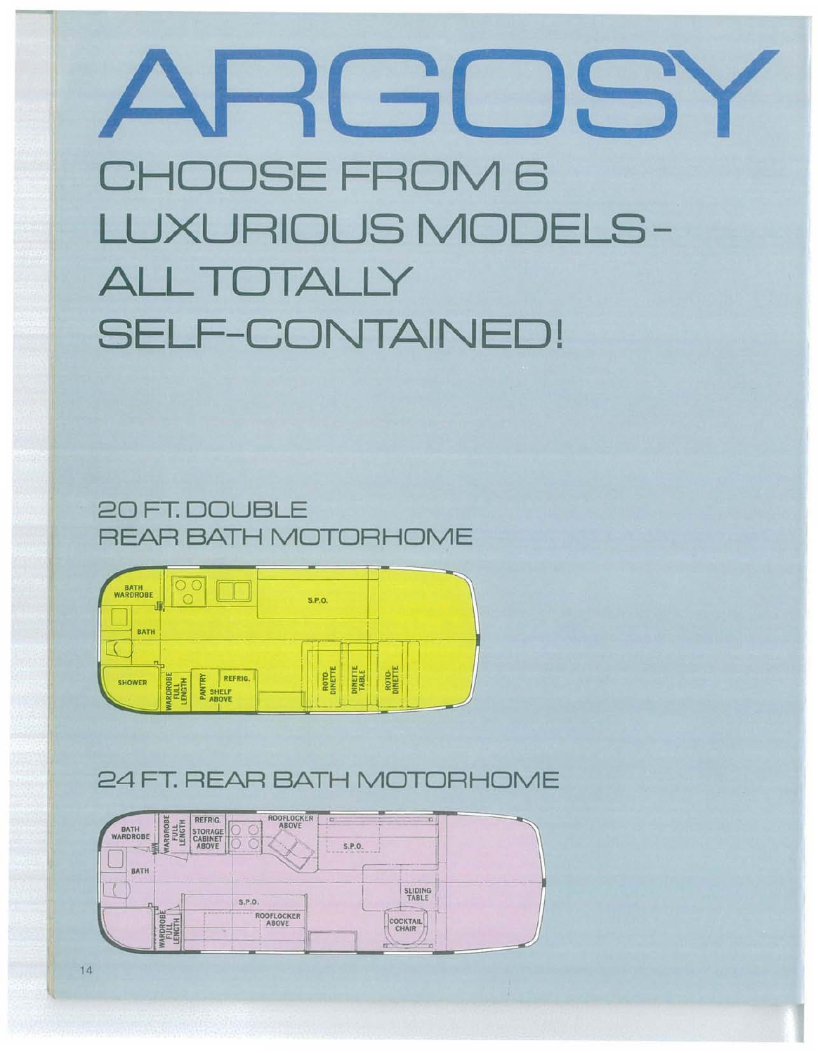# 30 SO CHOOSE FROM 6 **LUXURIOUS MODELS ALL TOTALLY SELF-CONTAINED!**





## 24 FT. REAR BATH MOTORHOME